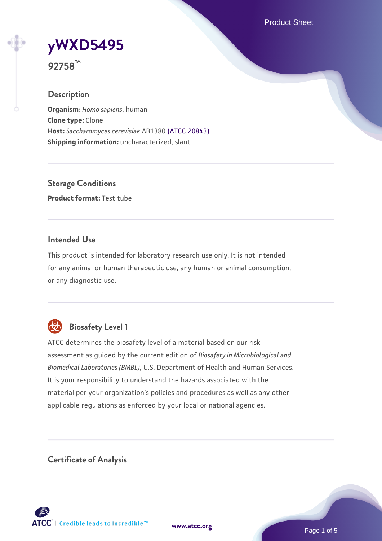Product Sheet

# **[yWXD5495](https://www.atcc.org/products/92758)**

**92758™**

# **Description**

**Organism:** *Homo sapiens*, human **Clone type:** Clone **Host:** *Saccharomyces cerevisiae* AB1380 [\(ATCC 20843\)](https://www.atcc.org/products/20843) **Shipping information:** uncharacterized, slant

**Storage Conditions Product format:** Test tube

# **Intended Use**

This product is intended for laboratory research use only. It is not intended for any animal or human therapeutic use, any human or animal consumption, or any diagnostic use.



# **Biosafety Level 1**

ATCC determines the biosafety level of a material based on our risk assessment as guided by the current edition of *Biosafety in Microbiological and Biomedical Laboratories (BMBL)*, U.S. Department of Health and Human Services. It is your responsibility to understand the hazards associated with the material per your organization's policies and procedures as well as any other applicable regulations as enforced by your local or national agencies.

**Certificate of Analysis**

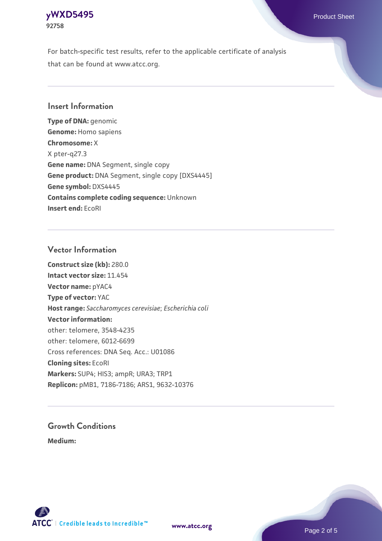#### **[yWXD5495](https://www.atcc.org/products/92758)** Product Sheet **92758**

For batch-specific test results, refer to the applicable certificate of analysis that can be found at www.atcc.org.

## **Insert Information**

**Type of DNA:** genomic **Genome:** Homo sapiens **Chromosome:** X X pter-q27.3 **Gene name:** DNA Segment, single copy **Gene product:** DNA Segment, single copy [DXS4445] **Gene symbol:** DXS4445 **Contains complete coding sequence:** Unknown **Insert end:** EcoRI

## **Vector Information**

**Construct size (kb):** 280.0 **Intact vector size:** 11.454 **Vector name:** pYAC4 **Type of vector:** YAC **Host range:** *Saccharomyces cerevisiae*; *Escherichia coli* **Vector information:** other: telomere, 3548-4235 other: telomere, 6012-6699 Cross references: DNA Seq. Acc.: U01086 **Cloning sites:** EcoRI **Markers:** SUP4; HIS3; ampR; URA3; TRP1 **Replicon:** pMB1, 7186-7186; ARS1, 9632-10376

# **Growth Conditions**

**Medium:** 



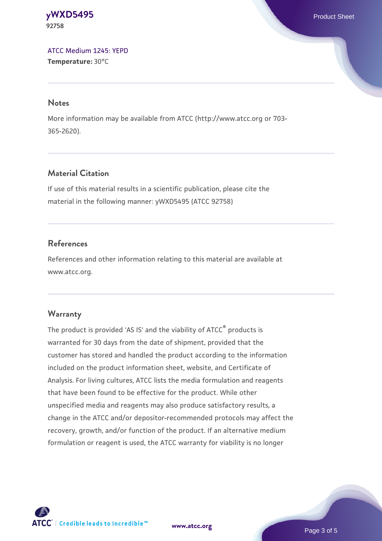#### **[yWXD5495](https://www.atcc.org/products/92758)** Product Sheet **92758**

[ATCC Medium 1245: YEPD](https://www.atcc.org/-/media/product-assets/documents/microbial-media-formulations/1/2/4/5/atcc-medium-1245.pdf?rev=705ca55d1b6f490a808a965d5c072196) **Temperature:** 30°C

#### **Notes**

More information may be available from ATCC (http://www.atcc.org or 703- 365-2620).

# **Material Citation**

If use of this material results in a scientific publication, please cite the material in the following manner: yWXD5495 (ATCC 92758)

# **References**

References and other information relating to this material are available at www.atcc.org.

# **Warranty**

The product is provided 'AS IS' and the viability of ATCC® products is warranted for 30 days from the date of shipment, provided that the customer has stored and handled the product according to the information included on the product information sheet, website, and Certificate of Analysis. For living cultures, ATCC lists the media formulation and reagents that have been found to be effective for the product. While other unspecified media and reagents may also produce satisfactory results, a change in the ATCC and/or depositor-recommended protocols may affect the recovery, growth, and/or function of the product. If an alternative medium formulation or reagent is used, the ATCC warranty for viability is no longer



**[www.atcc.org](http://www.atcc.org)**

Page 3 of 5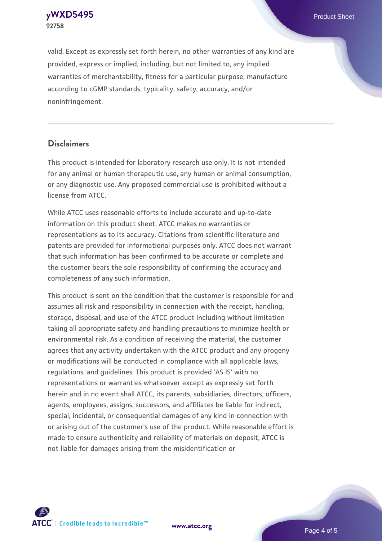**[yWXD5495](https://www.atcc.org/products/92758)** Product Sheet **92758**

valid. Except as expressly set forth herein, no other warranties of any kind are provided, express or implied, including, but not limited to, any implied warranties of merchantability, fitness for a particular purpose, manufacture according to cGMP standards, typicality, safety, accuracy, and/or noninfringement.

#### **Disclaimers**

This product is intended for laboratory research use only. It is not intended for any animal or human therapeutic use, any human or animal consumption, or any diagnostic use. Any proposed commercial use is prohibited without a license from ATCC.

While ATCC uses reasonable efforts to include accurate and up-to-date information on this product sheet, ATCC makes no warranties or representations as to its accuracy. Citations from scientific literature and patents are provided for informational purposes only. ATCC does not warrant that such information has been confirmed to be accurate or complete and the customer bears the sole responsibility of confirming the accuracy and completeness of any such information.

This product is sent on the condition that the customer is responsible for and assumes all risk and responsibility in connection with the receipt, handling, storage, disposal, and use of the ATCC product including without limitation taking all appropriate safety and handling precautions to minimize health or environmental risk. As a condition of receiving the material, the customer agrees that any activity undertaken with the ATCC product and any progeny or modifications will be conducted in compliance with all applicable laws, regulations, and guidelines. This product is provided 'AS IS' with no representations or warranties whatsoever except as expressly set forth herein and in no event shall ATCC, its parents, subsidiaries, directors, officers, agents, employees, assigns, successors, and affiliates be liable for indirect, special, incidental, or consequential damages of any kind in connection with or arising out of the customer's use of the product. While reasonable effort is made to ensure authenticity and reliability of materials on deposit, ATCC is not liable for damages arising from the misidentification or



**[www.atcc.org](http://www.atcc.org)**

Page 4 of 5